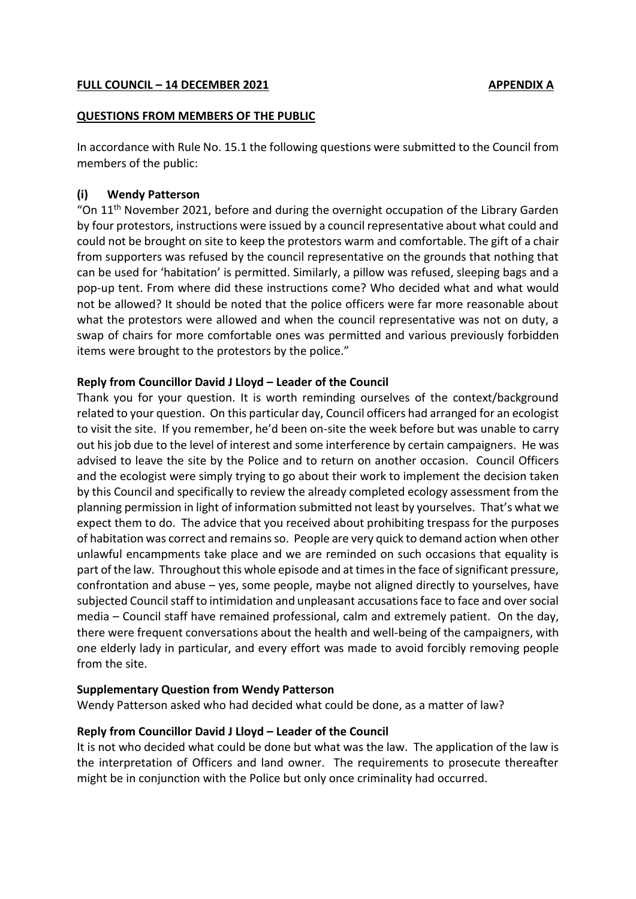## **FULL COUNCIL – 14 DECEMBER 2021 APPENDIX A**

#### **QUESTIONS FROM MEMBERS OF THE PUBLIC**

In accordance with Rule No. 15.1 the following questions were submitted to the Council from members of the public:

## **(i) Wendy Patterson**

"On 11<sup>th</sup> November 2021, before and during the overnight occupation of the Library Garden by four protestors, instructions were issued by a council representative about what could and could not be brought on site to keep the protestors warm and comfortable. The gift of a chair from supporters was refused by the council representative on the grounds that nothing that can be used for 'habitation' is permitted. Similarly, a pillow was refused, sleeping bags and a pop-up tent. From where did these instructions come? Who decided what and what would not be allowed? It should be noted that the police officers were far more reasonable about what the protestors were allowed and when the council representative was not on duty, a swap of chairs for more comfortable ones was permitted and various previously forbidden items were brought to the protestors by the police."

## **Reply from Councillor David J Lloyd – Leader of the Council**

Thank you for your question. It is worth reminding ourselves of the context/background related to your question. On this particular day, Council officers had arranged for an ecologist to visit the site. If you remember, he'd been on-site the week before but was unable to carry out his job due to the level of interest and some interference by certain campaigners. He was advised to leave the site by the Police and to return on another occasion. Council Officers and the ecologist were simply trying to go about their work to implement the decision taken by this Council and specifically to review the already completed ecology assessment from the planning permission in light of information submitted not least by yourselves. That's what we expect them to do. The advice that you received about prohibiting trespass for the purposes of habitation was correct and remains so. People are very quick to demand action when other unlawful encampments take place and we are reminded on such occasions that equality is part of the law. Throughout this whole episode and at times in the face of significant pressure, confrontation and abuse – yes, some people, maybe not aligned directly to yourselves, have subjected Council staff to intimidation and unpleasant accusations face to face and over social media – Council staff have remained professional, calm and extremely patient. On the day, there were frequent conversations about the health and well-being of the campaigners, with one elderly lady in particular, and every effort was made to avoid forcibly removing people from the site.

## **Supplementary Question from Wendy Patterson**

Wendy Patterson asked who had decided what could be done, as a matter of law?

# **Reply from Councillor David J Lloyd – Leader of the Council**

It is not who decided what could be done but what was the law. The application of the law is the interpretation of Officers and land owner. The requirements to prosecute thereafter might be in conjunction with the Police but only once criminality had occurred.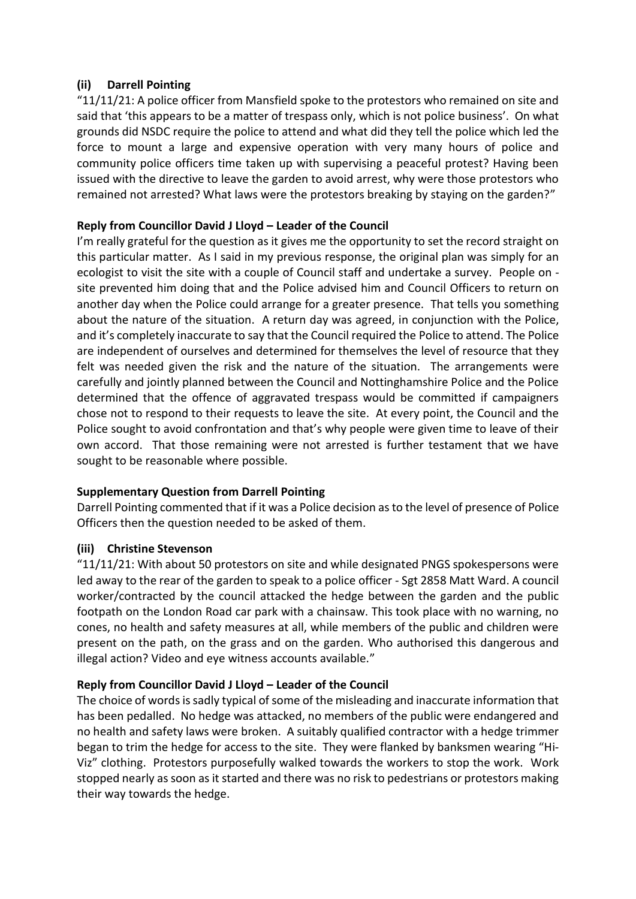# **(ii) Darrell Pointing**

"11/11/21: A police officer from Mansfield spoke to the protestors who remained on site and said that 'this appears to be a matter of trespass only, which is not police business'. On what grounds did NSDC require the police to attend and what did they tell the police which led the force to mount a large and expensive operation with very many hours of police and community police officers time taken up with supervising a peaceful protest? Having been issued with the directive to leave the garden to avoid arrest, why were those protestors who remained not arrested? What laws were the protestors breaking by staying on the garden?"

# **Reply from Councillor David J Lloyd – Leader of the Council**

I'm really grateful for the question as it gives me the opportunity to set the record straight on this particular matter. As I said in my previous response, the original plan was simply for an ecologist to visit the site with a couple of Council staff and undertake a survey. People on site prevented him doing that and the Police advised him and Council Officers to return on another day when the Police could arrange for a greater presence. That tells you something about the nature of the situation. A return day was agreed, in conjunction with the Police, and it's completely inaccurate to say that the Council required the Police to attend. The Police are independent of ourselves and determined for themselves the level of resource that they felt was needed given the risk and the nature of the situation. The arrangements were carefully and jointly planned between the Council and Nottinghamshire Police and the Police determined that the offence of aggravated trespass would be committed if campaigners chose not to respond to their requests to leave the site. At every point, the Council and the Police sought to avoid confrontation and that's why people were given time to leave of their own accord. That those remaining were not arrested is further testament that we have sought to be reasonable where possible.

# **Supplementary Question from Darrell Pointing**

Darrell Pointing commented that if it was a Police decision as to the level of presence of Police Officers then the question needed to be asked of them.

# **(iii) Christine Stevenson**

"11/11/21: With about 50 protestors on site and while designated PNGS spokespersons were led away to the rear of the garden to speak to a police officer - Sgt 2858 Matt Ward. A council worker/contracted by the council attacked the hedge between the garden and the public footpath on the London Road car park with a chainsaw. This took place with no warning, no cones, no health and safety measures at all, while members of the public and children were present on the path, on the grass and on the garden. Who authorised this dangerous and illegal action? Video and eye witness accounts available."

# **Reply from Councillor David J Lloyd – Leader of the Council**

The choice of words is sadly typical of some of the misleading and inaccurate information that has been pedalled. No hedge was attacked, no members of the public were endangered and no health and safety laws were broken. A suitably qualified contractor with a hedge trimmer began to trim the hedge for access to the site. They were flanked by banksmen wearing "Hi-Viz" clothing. Protestors purposefully walked towards the workers to stop the work. Work stopped nearly as soon as it started and there was no risk to pedestrians or protestors making their way towards the hedge.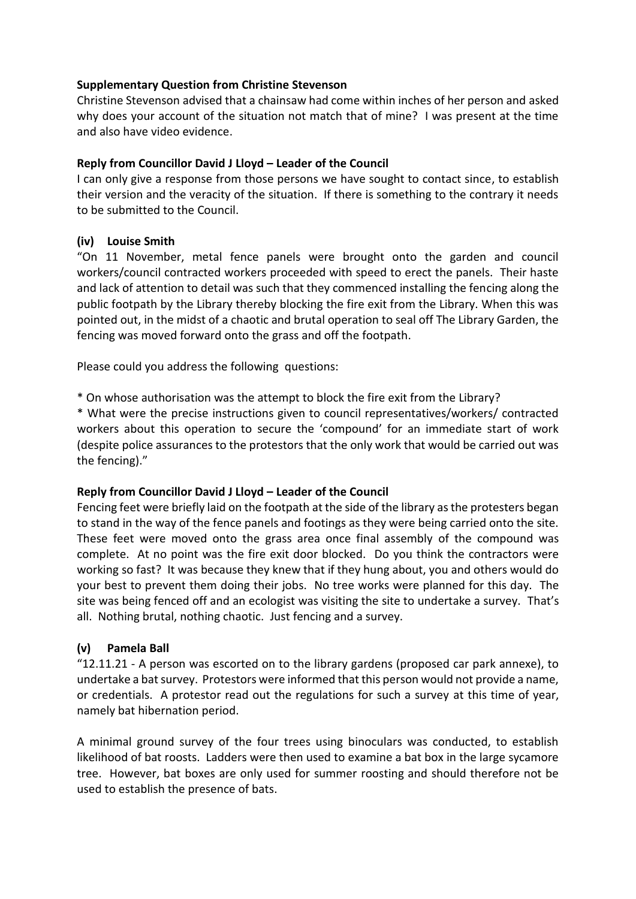## **Supplementary Question from Christine Stevenson**

Christine Stevenson advised that a chainsaw had come within inches of her person and asked why does your account of the situation not match that of mine? I was present at the time and also have video evidence.

## **Reply from Councillor David J Lloyd – Leader of the Council**

I can only give a response from those persons we have sought to contact since, to establish their version and the veracity of the situation. If there is something to the contrary it needs to be submitted to the Council.

# **(iv) Louise Smith**

"On 11 November, metal fence panels were brought onto the garden and council workers/council contracted workers proceeded with speed to erect the panels. Their haste and lack of attention to detail was such that they commenced installing the fencing along the public footpath by the Library thereby blocking the fire exit from the Library. When this was pointed out, in the midst of a chaotic and brutal operation to seal off The Library Garden, the fencing was moved forward onto the grass and off the footpath.

Please could you address the following questions:

\* On whose authorisation was the attempt to block the fire exit from the Library?

\* What were the precise instructions given to council representatives/workers/ contracted workers about this operation to secure the 'compound' for an immediate start of work (despite police assurances to the protestors that the only work that would be carried out was the fencing)."

## **Reply from Councillor David J Lloyd – Leader of the Council**

Fencing feet were briefly laid on the footpath at the side of the library as the protesters began to stand in the way of the fence panels and footings as they were being carried onto the site. These feet were moved onto the grass area once final assembly of the compound was complete. At no point was the fire exit door blocked. Do you think the contractors were working so fast? It was because they knew that if they hung about, you and others would do your best to prevent them doing their jobs. No tree works were planned for this day. The site was being fenced off and an ecologist was visiting the site to undertake a survey. That's all. Nothing brutal, nothing chaotic. Just fencing and a survey.

# **(v) Pamela Ball**

"12.11.21 - A person was escorted on to the library gardens (proposed car park annexe), to undertake a bat survey. Protestors were informed that this person would not provide a name, or credentials. A protestor read out the regulations for such a survey at this time of year, namely bat hibernation period.

A minimal ground survey of the four trees using binoculars was conducted, to establish likelihood of bat roosts. Ladders were then used to examine a bat box in the large sycamore tree. However, bat boxes are only used for summer roosting and should therefore not be used to establish the presence of bats.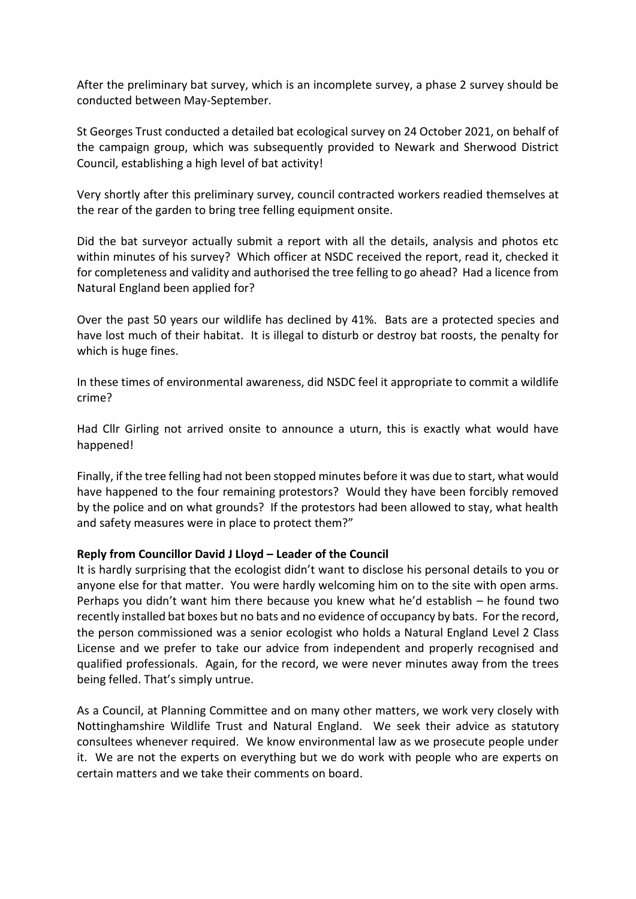After the preliminary bat survey, which is an incomplete survey, a phase 2 survey should be conducted between May-September.

St Georges Trust conducted a detailed bat ecological survey on 24 October 2021, on behalf of the campaign group, which was subsequently provided to Newark and Sherwood District Council, establishing a high level of bat activity!

Very shortly after this preliminary survey, council contracted workers readied themselves at the rear of the garden to bring tree felling equipment onsite.

Did the bat surveyor actually submit a report with all the details, analysis and photos etc within minutes of his survey? Which officer at NSDC received the report, read it, checked it for completeness and validity and authorised the tree felling to go ahead? Had a licence from Natural England been applied for?

Over the past 50 years our wildlife has declined by 41%. Bats are a protected species and have lost much of their habitat. It is illegal to disturb or destroy bat roosts, the penalty for which is huge fines.

In these times of environmental awareness, did NSDC feel it appropriate to commit a wildlife crime?

Had Cllr Girling not arrived onsite to announce a uturn, this is exactly what would have happened!

Finally, if the tree felling had not been stopped minutes before it was due to start, what would have happened to the four remaining protestors? Would they have been forcibly removed by the police and on what grounds? If the protestors had been allowed to stay, what health and safety measures were in place to protect them?"

## **Reply from Councillor David J Lloyd – Leader of the Council**

It is hardly surprising that the ecologist didn't want to disclose his personal details to you or anyone else for that matter. You were hardly welcoming him on to the site with open arms. Perhaps you didn't want him there because you knew what he'd establish – he found two recently installed bat boxes but no bats and no evidence of occupancy by bats. For the record, the person commissioned was a senior ecologist who holds a Natural England Level 2 Class License and we prefer to take our advice from independent and properly recognised and qualified professionals. Again, for the record, we were never minutes away from the trees being felled. That's simply untrue.

As a Council, at Planning Committee and on many other matters, we work very closely with Nottinghamshire Wildlife Trust and Natural England. We seek their advice as statutory consultees whenever required. We know environmental law as we prosecute people under it. We are not the experts on everything but we do work with people who are experts on certain matters and we take their comments on board.